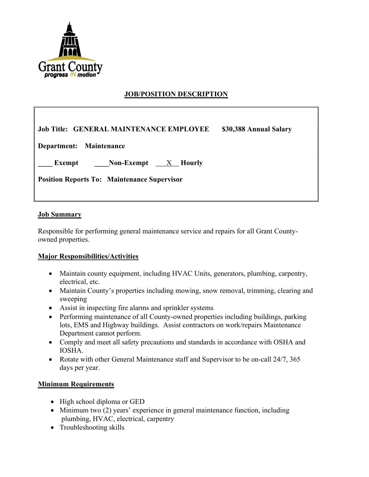

# JOB/POSITION DESCRIPTION

Job Title: GENERAL MAINTENANCE EMPLOYEE \$30,388 Annual Salary

Department: Maintenance

Exempt Non-Exempt X Hourly

Position Reports To: Maintenance Supervisor

#### **Job Summary**

Responsible for performing general maintenance service and repairs for all Grant Countyowned properties.

#### Major Responsibilities/Activities

- Maintain county equipment, including HVAC Units, generators, plumbing, carpentry, electrical, etc.
- Maintain County's properties including mowing, snow removal, trimming, clearing and sweeping
- Assist in inspecting fire alarms and sprinkler systems
- Performing maintenance of all County-owned properties including buildings, parking lots, EMS and Highway buildings. Assist contractors on work/repairs Maintenance Department cannot perform.
- Comply and meet all safety precautions and standards in accordance with OSHA and IOSHA.
- Rotate with other General Maintenance staff and Supervisor to be on-call 24/7, 365 days per year.

#### Minimum Requirements

- High school diploma or GED
- Minimum two (2) years' experience in general maintenance function, including plumbing, HVAC, electrical, carpentry
- Troubleshooting skills